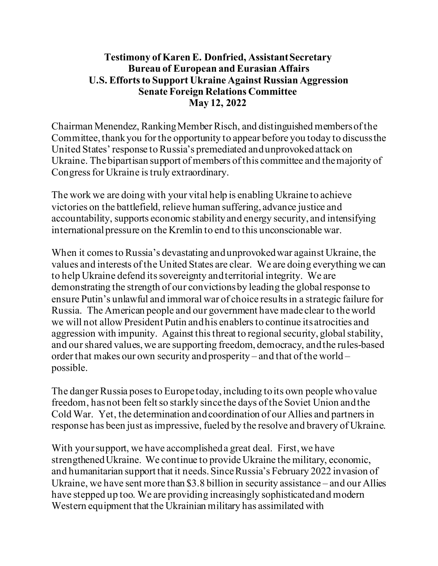## **Testimony of Karen E. Donfried, Assistant Secretary Bureau of European and Eurasian Affairs U.S. Efforts to Support Ukraine Against Russian Aggression Senate Foreign Relations Committee May 12, 2022**

Chairman Menendez, Ranking Member Risch, and distinguished members of the Committee, thank you for the opportunity to appear before you today to discuss the United States' response to Russia's premediated and unprovoked attack on Ukraine. The bipartisan support of members of this committee and the majority of Congress for Ukraine is truly extraordinary.

The work we are doing with your vital help is enabling Ukraine to achieve victories on the battlefield, relieve human suffering, advance justice and accountability, supports economic stabilityand energy security, and intensifying international pressure on the Kremlin to end to this unconscionable war.

When it comes to Russia's devastating and unprovokedwar against Ukraine, the values and interests of the United States are clear. We are doing everything we can to help Ukraine defend its sovereignty and territorial integrity. We are demonstrating the strength of our convictions by leading the global response to ensure Putin's unlawful and immoral war of choice resultsin a strategic failure for Russia. The American people and our government have made clear to the world we will not allow President Putin and his enablers to continue its atrocities and aggression with impunity. Against this threat to regional security, global stability, and our shared values, we are supporting freedom, democracy, and the rules-based order that makes our own security and prosperity – and that of the world – possible.

The danger Russia poses to Europe today, including to its own people who value freedom, has not been felt so starkly since the days of the Soviet Union and the Cold War. Yet, the determination and coordination of our Allies and partners in response has been just asimpressive, fueled by the resolve and bravery of Ukraine.

With your support, we have accomplished a great deal. First, we have strengthened Ukraine. We continue to provide Ukraine the military, economic, and humanitarian support that it needs. SinceRussia's February 2022 invasion of Ukraine, we have sent more than \$3.8 billion in security assistance – and our Allies have stepped up too. We are providing increasingly sophisticated and modern Western equipment that the Ukrainian military has assimilated with